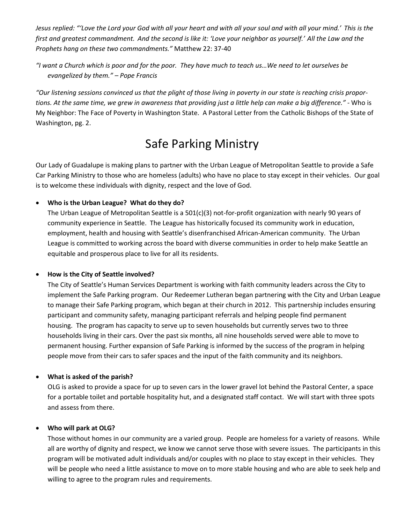*Jesus replied: "'Love the Lord your God with all your heart and with all your soul and with all your mind.' This is the first and greatest commandment. And the second is like it: 'Love your neighbor as yourself.' All the Law and the Prophets hang on these two commandments."* Matthew 22: 37-40

*"I want a Church which is poor and for the poor. They have much to teach us…We need to let ourselves be evangelized by them." – Pope Francis*

*"Our listening sessions convinced us that the plight of those living in poverty in our state is reaching crisis proportions. At the same time, we grew in awareness that providing just a little help can make a big difference." -* Who is My Neighbor: The Face of Poverty in Washington State. A Pastoral Letter from the Catholic Bishops of the State of Washington, pg. 2.

# Safe Parking Ministry

Our Lady of Guadalupe is making plans to partner with the Urban League of Metropolitan Seattle to provide a Safe Car Parking Ministry to those who are homeless (adults) who have no place to stay except in their vehicles. Our goal is to welcome these individuals with dignity, respect and the love of God.

## • **Who is the Urban League? What do they do?**

The Urban League of Metropolitan Seattle is a 501(c)(3) not-for-profit organization with nearly 90 years of community experience in Seattle. The League has historically focused its community work in education, employment, health and housing with Seattle's disenfranchised African-American community. The Urban League is committed to working across the board with diverse communities in order to help make Seattle an equitable and prosperous place to live for all its residents.

#### • **How is the City of Seattle involved?**

The City of Seattle's Human Services Department is working with faith community leaders across the City to implement the Safe Parking program. Our Redeemer Lutheran began partnering with the City and Urban League to manage their Safe Parking program, which began at their church in 2012. This partnership includes ensuring participant and community safety, managing participant referrals and helping people find permanent housing. The program has capacity to serve up to seven households but currently serves two to three households living in their cars. Over the past six months, all nine households served were able to move to permanent housing. Further expansion of Safe Parking is informed by the success of the program in helping people move from their cars to safer spaces and the input of the faith community and its neighbors.

## • **What is asked of the parish?**

OLG is asked to provide a space for up to seven cars in the lower gravel lot behind the Pastoral Center, a space for a portable toilet and portable hospitality hut, and a designated staff contact. We will start with three spots and assess from there.

## • **Who will park at OLG?**

Those without homes in our community are a varied group. People are homeless for a variety of reasons. While all are worthy of dignity and respect, we know we cannot serve those with severe issues. The participants in this program will be motivated adult individuals and/or couples with no place to stay except in their vehicles. They will be people who need a little assistance to move on to more stable housing and who are able to seek help and willing to agree to the program rules and requirements.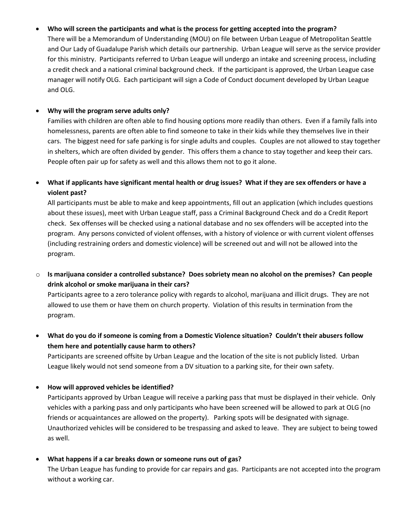## • **Who will screen the participants and what is the process for getting accepted into the program?**

There will be a Memorandum of Understanding (MOU) on file between Urban League of Metropolitan Seattle and Our Lady of Guadalupe Parish which details our partnership. Urban League will serve as the service provider for this ministry. Participants referred to Urban League will undergo an intake and screening process, including a credit check and a national criminal background check. If the participant is approved, the Urban League case manager will notify OLG. Each participant will sign a Code of Conduct document developed by Urban League and OLG.

## • **Why will the program serve adults only?**

Families with children are often able to find housing options more readily than others. Even if a family falls into homelessness, parents are often able to find someone to take in their kids while they themselves live in their cars. The biggest need for safe parking is for single adults and couples. Couples are not allowed to stay together in shelters, which are often divided by gender. This offers them a chance to stay together and keep their cars. People often pair up for safety as well and this allows them not to go it alone.

# • **What if applicants have significant mental health or drug issues? What if they are sex offenders or have a violent past?**

All participants must be able to make and keep appointments, fill out an application (which includes questions about these issues), meet with Urban League staff, pass a Criminal Background Check and do a Credit Report check. Sex offenses will be checked using a national database and no sex offenders will be accepted into the program. Any persons convicted of violent offenses, with a history of violence or with current violent offenses (including restraining orders and domestic violence) will be screened out and will not be allowed into the program.

o **Is marijuana consider a controlled substance? Does sobriety mean no alcohol on the premises? Can people drink alcohol or smoke marijuana in their cars?**

Participants agree to a zero tolerance policy with regards to alcohol, marijuana and illicit drugs. They are not allowed to use them or have them on church property. Violation of this results in termination from the program.

# • **What do you do if someone is coming from a Domestic Violence situation? Couldn't their abusers follow them here and potentially cause harm to others?**

Participants are screened offsite by Urban League and the location of the site is not publicly listed. Urban League likely would not send someone from a DV situation to a parking site, for their own safety.

## • **How will approved vehicles be identified?**

Participants approved by Urban League will receive a parking pass that must be displayed in their vehicle. Only vehicles with a parking pass and only participants who have been screened will be allowed to park at OLG (no friends or acquaintances are allowed on the property). Parking spots will be designated with signage. Unauthorized vehicles will be considered to be trespassing and asked to leave. They are subject to being towed as well.

## • **What happens if a car breaks down or someone runs out of gas?**

The Urban League has funding to provide for car repairs and gas. Participants are not accepted into the program without a working car.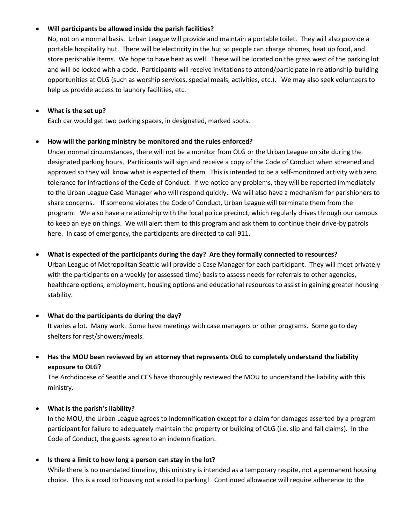#### • **Will participants be allowed inside the parish facilities?**

No, not on a normal basis. Urban League will provide and maintain a portable toilet. They will also provide a portable hospitality hut. There will be electricity in the hut so people can charge phones, heat up food, and store perishable items. We hope to have heat as well. These will be located on the grass west of the parking lot and will be locked with a code. Participants will receive invitations to attend/participate in relationship-building opportunities at OLG (such as worship services, special meals, activities, etc.). We may also seek volunteers to help us provide access to laundry facilities, etc.

#### • **What is the set up?**

Each car would get two parking spaces, in designated, marked spots.

#### • **How will the parking ministry be monitored and the rules enforced?**

Under normal circumstances, there will not be a monitor from OLG or the Urban League on site during the designated parking hours. Participants will sign and receive a copy of the Code of Conduct when screened and approved so they will know what is expected of them. This is intended to be a self-monitored activity with zero tolerance for infractions of the Code of Conduct. If we notice any problems, they will be reported immediately to the Urban League Case Manager who will respond quickly. We will also have a mechanism for parishioners to share concerns. If someone violates the Code of Conduct, Urban League will terminate them from the program. We also have a relationship with the local police precinct, which regularly drives through our campus to keep an eye on things. We will alert them to this program and ask them to continue their drive-by patrols here. In case of emergency, the participants are directed to call 911.

#### • **What is expected of the participants during the day? Are they formally connected to resources?**

Urban League of Metropolitan Seattle will provide a Case Manager for each participant. They will meet privately with the participants on a weekly (or assessed time) basis to assess needs for referrals to other agencies, healthcare options, employment, housing options and educational resources to assist in gaining greater housing stability.

#### • **What do the participants do during the day?**

It varies a lot. Many work. Some have meetings with case managers or other programs. Some go to day shelters for rest/showers/meals.

# • **Has the MOU been reviewed by an attorney that represents OLG to completely understand the liability exposure to OLG?**

The Archdiocese of Seattle and CCS have thoroughly reviewed the MOU to understand the liability with this ministry.

## • **What is the parish's liability?**

In the MOU, the Urban League agrees to indemnification except for a claim for damages asserted by a program participant for failure to adequately maintain the property or building of OLG (i.e. slip and fall claims). In the Code of Conduct, the guests agree to an indemnification.

## • **Is there a limit to how long a person can stay in the lot?**

While there is no mandated timeline, this ministry is intended as a temporary respite, not a permanent housing choice. This is a road to housing not a road to parking! Continued allowance will require adherence to the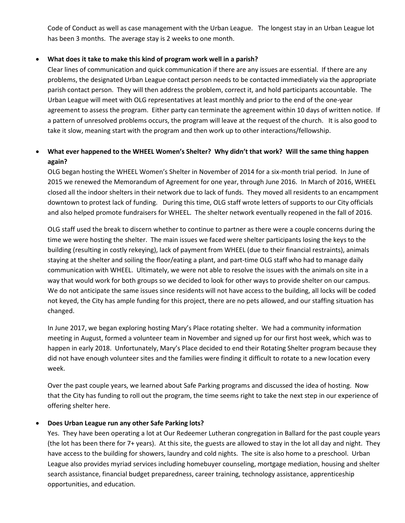Code of Conduct as well as case management with the Urban League. The longest stay in an Urban League lot has been 3 months. The average stay is 2 weeks to one month.

#### • **What does it take to make this kind of program work well in a parish?**

Clear lines of communication and quick communication if there are any issues are essential. If there are any problems, the designated Urban League contact person needs to be contacted immediately via the appropriate parish contact person. They will then address the problem, correct it, and hold participants accountable. The Urban League will meet with OLG representatives at least monthly and prior to the end of the one-year agreement to assess the program. Either party can terminate the agreement within 10 days of written notice. If a pattern of unresolved problems occurs, the program will leave at the request of the church. It is also good to take it slow, meaning start with the program and then work up to other interactions/fellowship.

# • **What ever happened to the WHEEL Women's Shelter? Why didn't that work? Will the same thing happen again?**

OLG began hosting the WHEEL Women's Shelter in November of 2014 for a six-month trial period. In June of 2015 we renewed the Memorandum of Agreement for one year, through June 2016. In March of 2016, WHEEL closed all the indoor shelters in their network due to lack of funds. They moved all residents to an encampment downtown to protest lack of funding. During this time, OLG staff wrote letters of supports to our City officials and also helped promote fundraisers for WHEEL. The shelter network eventually reopened in the fall of 2016.

OLG staff used the break to discern whether to continue to partner as there were a couple concerns during the time we were hosting the shelter. The main issues we faced were shelter participants losing the keys to the building (resulting in costly rekeying), lack of payment from WHEEL (due to their financial restraints), animals staying at the shelter and soiling the floor/eating a plant, and part-time OLG staff who had to manage daily communication with WHEEL. Ultimately, we were not able to resolve the issues with the animals on site in a way that would work for both groups so we decided to look for other ways to provide shelter on our campus. We do not anticipate the same issues since residents will not have access to the building, all locks will be coded not keyed, the City has ample funding for this project, there are no pets allowed, and our staffing situation has changed.

In June 2017, we began exploring hosting Mary's Place rotating shelter. We had a community information meeting in August, formed a volunteer team in November and signed up for our first host week, which was to happen in early 2018. Unfortunately, Mary's Place decided to end their Rotating Shelter program because they did not have enough volunteer sites and the families were finding it difficult to rotate to a new location every week.

Over the past couple years, we learned about Safe Parking programs and discussed the idea of hosting. Now that the City has funding to roll out the program, the time seems right to take the next step in our experience of offering shelter here.

## • **Does Urban League run any other Safe Parking lots?**

Yes. They have been operating a lot at Our Redeemer Lutheran congregation in Ballard for the past couple years (the lot has been there for 7+ years). At this site, the guests are allowed to stay in the lot all day and night. They have access to the building for showers, laundry and cold nights. The site is also home to a preschool. Urban League also provides myriad services including homebuyer counseling, mortgage mediation, housing and shelter search assistance, financial budget preparedness, career training, technology assistance, apprenticeship opportunities, and education.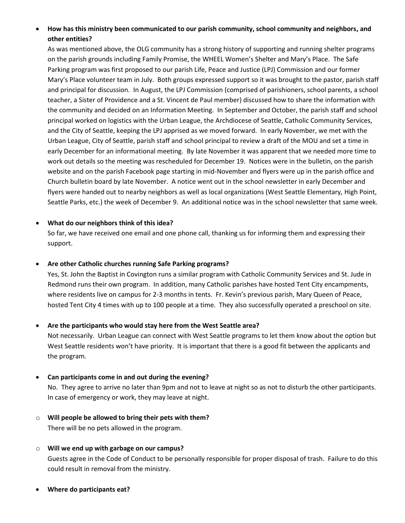# • **How has this ministry been communicated to our parish community, school community and neighbors, and other entities?**

As was mentioned above, the OLG community has a strong history of supporting and running shelter programs on the parish grounds including Family Promise, the WHEEL Women's Shelter and Mary's Place. The Safe Parking program was first proposed to our parish Life, Peace and Justice (LPJ) Commission and our former Mary's Place volunteer team in July. Both groups expressed support so it was brought to the pastor, parish staff and principal for discussion. In August, the LPJ Commission (comprised of parishioners, school parents, a school teacher, a Sister of Providence and a St. Vincent de Paul member) discussed how to share the information with the community and decided on an Information Meeting. In September and October, the parish staff and school principal worked on logistics with the Urban League, the Archdiocese of Seattle, Catholic Community Services, and the City of Seattle, keeping the LPJ apprised as we moved forward. In early November, we met with the Urban League, City of Seattle, parish staff and school principal to review a draft of the MOU and set a time in early December for an informational meeting. By late November it was apparent that we needed more time to work out details so the meeting was rescheduled for December 19. Notices were in the bulletin, on the parish website and on the parish Facebook page starting in mid-November and flyers were up in the parish office and Church bulletin board by late November. A notice went out in the school newsletter in early December and flyers were handed out to nearby neighbors as well as local organizations (West Seattle Elementary, High Point, Seattle Parks, etc.) the week of December 9. An additional notice was in the school newsletter that same week.

#### • **What do our neighbors think of this idea?**

So far, we have received one email and one phone call, thanking us for informing them and expressing their support.

#### • **Are other Catholic churches running Safe Parking programs?**

Yes, St. John the Baptist in Covington runs a similar program with Catholic Community Services and St. Jude in Redmond runs their own program. In addition, many Catholic parishes have hosted Tent City encampments, where residents live on campus for 2-3 months in tents. Fr. Kevin's previous parish, Mary Queen of Peace, hosted Tent City 4 times with up to 100 people at a time. They also successfully operated a preschool on site.

#### • **Are the participants who would stay here from the West Seattle area?**

Not necessarily. Urban League can connect with West Seattle programs to let them know about the option but West Seattle residents won't have priority. It is important that there is a good fit between the applicants and the program.

#### • **Can participants come in and out during the evening?**

No. They agree to arrive no later than 9pm and not to leave at night so as not to disturb the other participants. In case of emergency or work, they may leave at night.

o **Will people be allowed to bring their pets with them?** There will be no pets allowed in the program.

#### o **Will we end up with garbage on our campus?**

Guests agree in the Code of Conduct to be personally responsible for proper disposal of trash. Failure to do this could result in removal from the ministry.

• **Where do participants eat?**